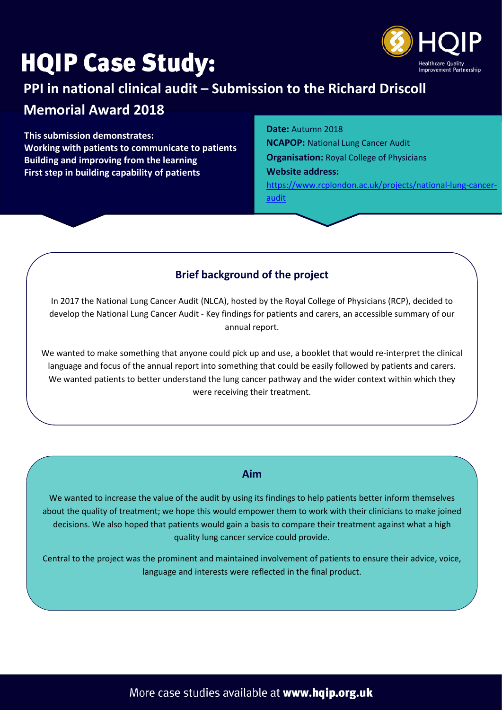# **HQIP Case Study:**



## **PPI in national clinical audit – Submission to the Richard Driscoll**

## **Memorial Award 2018**

**This submission demonstrates: Working with patients to communicate to patients Building and improving from the learning First step in building capability of patients**

**Date:** Autumn 2018

**NCAPOP:** National Lung Cancer Audit **Organisation:** Royal College of Physicians **Website address:** [https://www.rcplondon.ac.uk/projects/national-lung-cancer](https://www.rcplondon.ac.uk/projects/national-lung-cancer-audit)[audit](https://www.rcplondon.ac.uk/projects/national-lung-cancer-audit)

### **Brief background of the project**

In 2017 the National Lung Cancer Audit (NLCA), hosted by the Royal College of Physicians (RCP), decided to develop the National Lung Cancer Audit - Key findings for patients and carers, an accessible summary of our annual report.

We wanted to make something that anyone could pick up and use, a booklet that would re-interpret the clinical language and focus of the annual report into something that could be easily followed by patients and carers. We wanted patients to better understand the lung cancer pathway and the wider context within which they were receiving their treatment.

#### **Aim**

We wanted to increase the value of the audit by using its findings to help patients better inform themselves about the quality of treatment; we hope this would empower them to work with their clinicians to make joined decisions. We also hoped that patients would gain a basis to compare their treatment against what a high quality lung cancer service could provide.

Central to the project was the prominent and maintained involvement of patients to ensure their advice, voice, language and interests were reflected in the final product.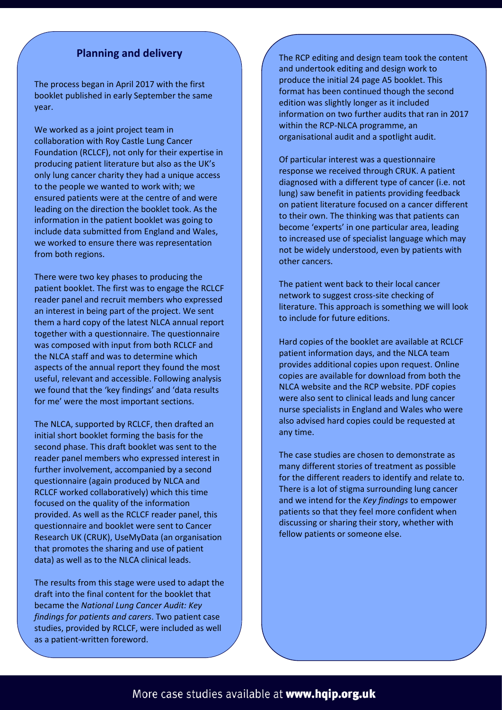#### **Planning and delivery**

The process began in April 2017 with the first booklet published in early September the same year.

We worked as a joint project team in collaboration with Roy Castle Lung Cancer Foundation (RCLCF), not only for their expertise in producing patient literature but also as the UK's only lung cancer charity they had a unique access to the people we wanted to work with; we ensured patients were at the centre of and were leading on the direction the booklet took. As the information in the patient booklet was going to include data submitted from England and Wales, we worked to ensure there was representation from both regions.

There were two key phases to producing the patient booklet. The first was to engage the RCLCF reader panel and recruit members who expressed an interest in being part of the project. We sent them a hard copy of the latest NLCA annual report together with a questionnaire. The questionnaire was composed with input from both RCLCF and the NLCA staff and was to determine which aspects of the annual report they found the most useful, relevant and accessible. Following analysis we found that the 'key findings' and 'data results for me' were the most important sections.

The NLCA, supported by RCLCF, then drafted an initial short booklet forming the basis for the second phase. This draft booklet was sent to the reader panel members who expressed interest in further involvement, accompanied by a second questionnaire (again produced by NLCA and RCLCF worked collaboratively) which this time focused on the quality of the information provided. As well as the RCLCF reader panel, this questionnaire and booklet were sent to Cancer Research UK (CRUK), UseMyData (an organisation that promotes the sharing and use of patient data) as well as to the NLCA clinical leads.

The results from this stage were used to adapt the draft into the final content for the booklet that became the *National Lung Cancer Audit: Key findings for patients and carers*. Two patient case studies, provided by RCLCF, were included as well as a patient-written foreword.

The RCP editing and design team took the content and undertook editing and design work to produce the initial 24 page A5 booklet. This format has been continued though the second edition was slightly longer as it included information on two further audits that ran in 2017 within the RCP-NLCA programme, an organisational audit and a spotlight audit.

Of particular interest was a questionnaire response we received through CRUK. A patient diagnosed with a different type of cancer (i.e. not lung) saw benefit in patients providing feedback on patient literature focused on a cancer different to their own. The thinking was that patients can become 'experts' in one particular area, leading to increased use of specialist language which may not be widely understood, even by patients with other cancers.

The patient went back to their local cancer network to suggest cross-site checking of literature. This approach is something we will look to include for future editions.

Hard copies of the booklet are available at RCLCF patient information days, and the NLCA team provides additional copies upon request. Online copies are available for download from both the NLCA website and the RCP website. PDF copies were also sent to clinical leads and lung cancer nurse specialists in England and Wales who were also advised hard copies could be requested at any time.

The case studies are chosen to demonstrate as many different stories of treatment as possible for the different readers to identify and relate to. There is a lot of stigma surrounding lung cancer and we intend for the *Key findings* to empower patients so that they feel more confident when discussing or sharing their story, whether with fellow patients or someone else.